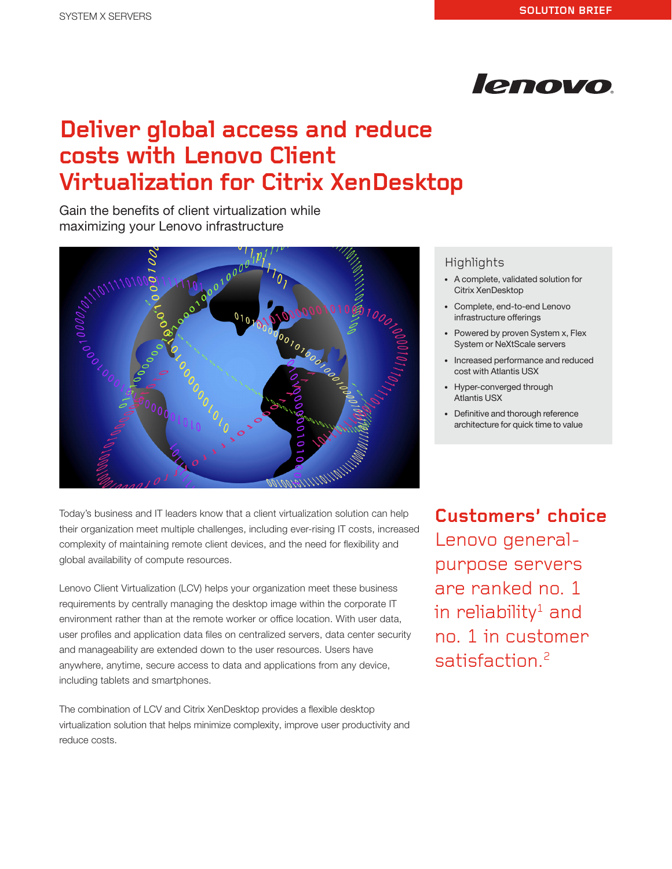

# **Deliver global access and reduce costs with Lenovo Client Virtualization for Citrix XenDesktop**

Gain the benefits of client virtualization while maximizing your Lenovo infrastructure



Today's business and IT leaders know that a client virtualization solution can help their organization meet multiple challenges, including ever-rising IT costs, increased complexity of maintaining remote client devices, and the need for flexibility and global availability of compute resources.

Lenovo Client Virtualization (LCV) helps your organization meet these business requirements by centrally managing the desktop image within the corporate IT environment rather than at the remote worker or office location. With user data, user profiles and application data files on centralized servers, data center security and manageability are extended down to the user resources. Users have anywhere, anytime, secure access to data and applications from any device, including tablets and smartphones.

The combination of LCV and Citrix XenDesktop provides a flexible desktop virtualization solution that helps minimize complexity, improve user productivity and reduce costs.

## Highlights

- A complete, validated solution for Citrix XenDesktop
- Complete, end-to-end Lenovo infrastructure offerings
- Powered by proven System x, Flex System or NeXtScale servers
- Increased performance and reduced cost with Atlantis USX
- Hyper-converged through Atlantis USX
- Definitive and thorough reference architecture for quick time to value

**Customers' choice** Lenovo generalpurpose servers are ranked no. 1 in reliability<sup>1</sup> and no. 1 in customer satisfaction.<sup>2</sup>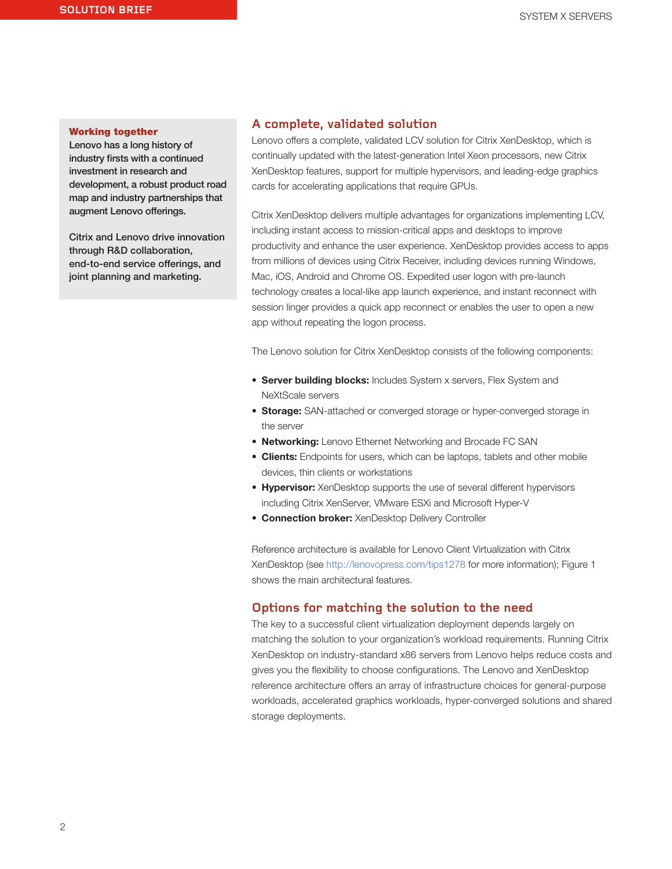#### Working together

Lenovo has a long history of industry firsts with a continued investment in research and development, a robust product road map and industry partnerships that augment Lenovo offerings.

Citrix and Lenovo drive innovation through R&D collaboration, end-to-end service offerings, and joint planning and marketing.

### **A complete, validated solution**

Lenovo offers a complete, validated LCV solution for Citrix XenDesktop, which is continually updated with the latest-generation Intel Xeon processors, new Citrix XenDesktop features, support for multiple hypervisors, and leading-edge graphics cards for accelerating applications that require GPUs.

Citrix XenDesktop delivers multiple advantages for organizations implementing LCV, including instant access to mission-critical apps and desktops to improve productivity and enhance the user experience. XenDesktop provides access to apps from millions of devices using Citrix Receiver, including devices running Windows, Mac, iOS, Android and Chrome OS. Expedited user logon with pre-launch technology creates a local-like app launch experience, and instant reconnect with session linger provides a quick app reconnect or enables the user to open a new app without repeating the logon process.

The Lenovo solution for Citrix XenDesktop consists of the following components:

- Server building blocks: Includes System x servers, Flex System and NeXtScale servers
- Storage: SAN-attached or converged storage or hyper-converged storage in the server
- Networking: Lenovo Ethernet Networking and Brocade FC SAN
- Clients: Endpoints for users, which can be laptops, tablets and other mobile devices, thin clients or workstations
- Hypervisor: XenDesktop supports the use of several different hypervisors including Citrix XenServer, VMware ESXi and Microsoft Hyper-V
- Connection broker: XenDesktop Delivery Controller

Reference architecture is available for Lenovo Client Virtualization with Citrix XenDesktop (see <http://lenovopress.com/tips1278> for more information); Figure 1 shows the main architectural features.

#### **Options for matching the solution to the need**

The key to a successful client virtualization deployment depends largely on matching the solution to your organization's workload requirements. Running Citrix XenDesktop on industry-standard x86 servers from Lenovo helps reduce costs and gives you the flexibility to choose configurations. The Lenovo and XenDesktop reference architecture offers an array of infrastructure choices for general-purpose workloads, accelerated graphics workloads, hyper-converged solutions and shared storage deployments.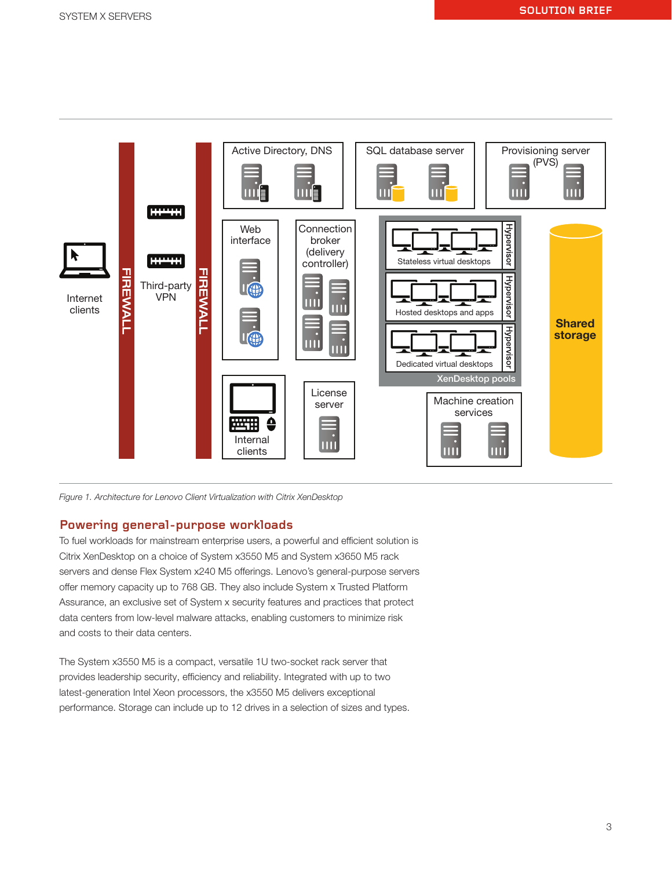

Figure 1. Architecture for Lenovo Client Virtualization with Citrix XenDesktop

## **Powering general-purpose workloads**

To fuel workloads for mainstream enterprise users, a powerful and efficient solution is Citrix XenDesktop on a choice of System x3550 M5 and System x3650 M5 rack servers and dense Flex System x240 M5 offerings. Lenovo's general-purpose servers offer memory capacity up to 768 GB. They also include System x Trusted Platform Assurance, an exclusive set of System x security features and practices that protect data centers from low-level malware attacks, enabling customers to minimize risk and costs to their data centers.

The System x3550 M5 is a compact, versatile 1U two-socket rack server that provides leadership security, efficiency and reliability. Integrated with up to two latest-generation Intel Xeon processors, the x3550 M5 delivers exceptional performance. Storage can include up to 12 drives in a selection of sizes and types.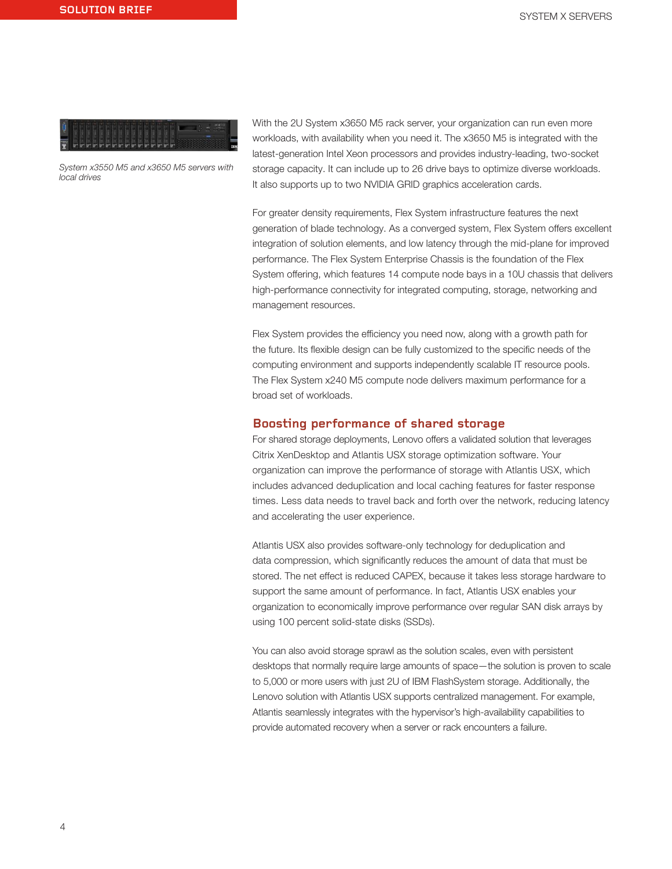

System x3550 M5 and x3650 M5 servers with local drives

With the 2U System x3650 M5 rack server, your organization can run even more workloads, with availability when you need it. The x3650 M5 is integrated with the latest-generation Intel Xeon processors and provides industry-leading, two-socket storage capacity. It can include up to 26 drive bays to optimize diverse workloads. It also supports up to two NVIDIA GRID graphics acceleration cards.

For greater density requirements, Flex System infrastructure features the next generation of blade technology. As a converged system, Flex System offers excellent integration of solution elements, and low latency through the mid-plane for improved performance. The Flex System Enterprise Chassis is the foundation of the Flex System offering, which features 14 compute node bays in a 10U chassis that delivers high-performance connectivity for integrated computing, storage, networking and management resources.

Flex System provides the efficiency you need now, along with a growth path for the future. Its flexible design can be fully customized to the specific needs of the computing environment and supports independently scalable IT resource pools. The Flex System x240 M5 compute node delivers maximum performance for a broad set of workloads.

## **Boosting performance of shared storage**

For shared storage deployments, Lenovo offers a validated solution that leverages Citrix XenDesktop and Atlantis USX storage optimization software. Your organization can improve the performance of storage with Atlantis USX, which includes advanced deduplication and local caching features for faster response times. Less data needs to travel back and forth over the network, reducing latency and accelerating the user experience.

Atlantis USX also provides software-only technology for deduplication and data compression, which significantly reduces the amount of data that must be stored. The net effect is reduced CAPEX, because it takes less storage hardware to support the same amount of performance. In fact, Atlantis USX enables your organization to economically improve performance over regular SAN disk arrays by using 100 percent solid-state disks (SSDs).

You can also avoid storage sprawl as the solution scales, even with persistent desktops that normally require large amounts of space—the solution is proven to scale to 5,000 or more users with just 2U of IBM FlashSystem storage. Additionally, the Lenovo solution with Atlantis USX supports centralized management. For example, Atlantis seamlessly integrates with the hypervisor's high-availability capabilities to provide automated recovery when a server or rack encounters a failure.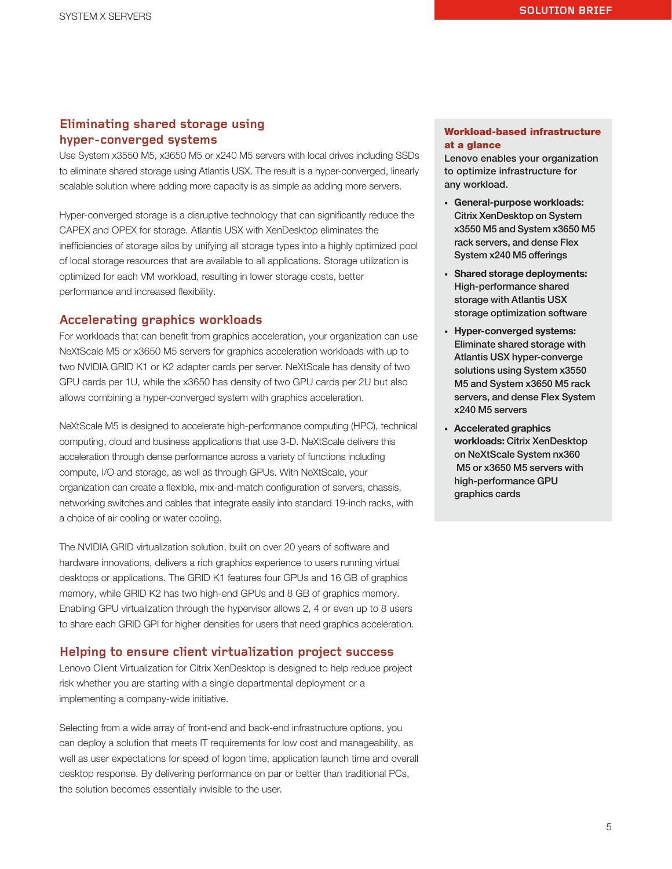# **Eliminating shared storage using hyper-converged systems**

Use System x3550 M5, x3650 M5 or x240 M5 servers with local drives including SSDs to eliminate shared storage using Atlantis USX. The result is a hyper-converged, linearly scalable solution where adding more capacity is as simple as adding more servers.

Hyper-converged storage is a disruptive technology that can significantly reduce the CAPEX and OPEX for storage. Atlantis USX with XenDesktop eliminates the inefficiencies of storage silos by unifying all storage types into a highly optimized pool of local storage resources that are available to all applications. Storage utilization is optimized for each VM workload, resulting in lower storage costs, better performance and increased flexibility.

## **Accelerating graphics workloads**

For workloads that can benefit from graphics acceleration, your organization can use NeXtScale M5 or x3650 M5 servers for graphics acceleration workloads with up to two NVIDIA GRID K1 or K2 adapter cards per server. NeXtScale has density of two GPU cards per 1U, while the x3650 has density of two GPU cards per 2U but also allows combining a hyper-converged system with graphics acceleration.

NeXtScale M5 is designed to accelerate high-performance computing (HPC), technical computing, cloud and business applications that use 3-D. NeXtScale delivers this acceleration through dense performance across a variety of functions including compute, I/O and storage, as well as through GPUs. With NeXtScale, your organization can create a flexible, mix-and-match configuration of servers, chassis, networking switches and cables that integrate easily into standard 19-inch racks, with a choice of air cooling or water cooling.

The NVIDIA GRID virtualization solution, built on over 20 years of software and hardware innovations, delivers a rich graphics experience to users running virtual desktops or applications. The GRID K1 features four GPUs and 16 GB of graphics memory, while GRID K2 has two high-end GPUs and 8 GB of graphics memory. Enabling GPU virtualization through the hypervisor allows 2, 4 or even up to 8 users to share each GRID GPI for higher densities for users that need graphics acceleration.

## **Helping to ensure client virtualization project success**

Lenovo Client Virtualization for Citrix XenDesktop is designed to help reduce project risk whether you are starting with a single departmental deployment or a implementing a company-wide initiative.

Selecting from a wide array of front-end and back-end infrastructure options, you can deploy a solution that meets IT requirements for low cost and manageability, as well as user expectations for speed of logon time, application launch time and overall desktop response. By delivering performance on par or better than traditional PCs, the solution becomes essentially invisible to the user.

### Workload-based infrastructure at a glance

Lenovo enables your organization to optimize infrastructure for any workload.

- General-purpose workloads: Citrix XenDesktop on System x3550 M5 and System x3650 M5 rack servers, and dense Flex System x240 M5 offerings
- Shared storage deployments: High-performance shared storage with Atlantis USX storage optimization software
- Hyper-converged systems: Eliminate shared storage with Atlantis USX hyper-converge solutions using System x3550 M5 and System x3650 M5 rack servers, and dense Flex System x240 M5 servers
- Accelerated graphics workloads: Citrix XenDesktop on NeXtScale System nx360 M5 or x3650 M5 servers with high-performance GPU graphics cards